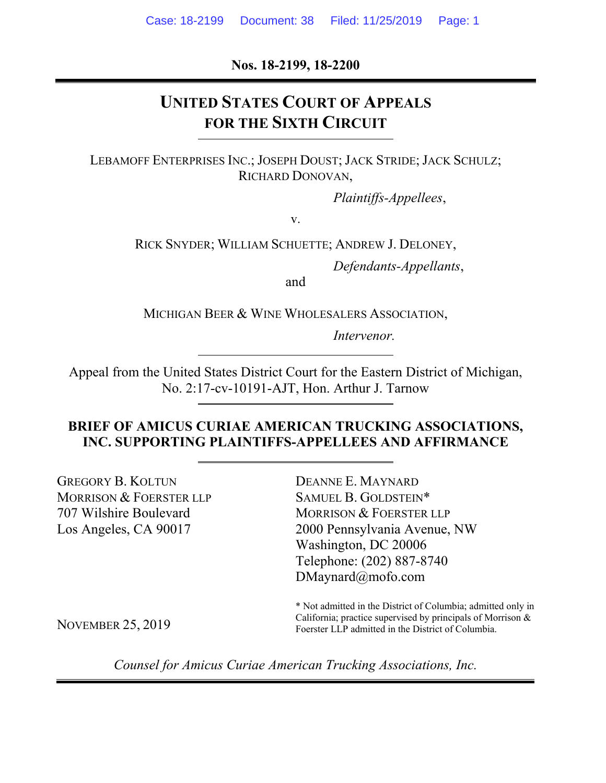**Nos. 18-2199, 18-2200** 

# **UNITED STATES COURT OF APPEALS FOR THE SIXTH CIRCUIT**

LEBAMOFF ENTERPRISES INC.; JOSEPH DOUST; JACK STRIDE; JACK SCHULZ; RICHARD DONOVAN,

*Plaintiffs-Appellees*,

v.

RICK SNYDER; WILLIAM SCHUETTE; ANDREW J. DELONEY,

*Defendants-Appellants*,

and

MICHIGAN BEER & WINE WHOLESALERS ASSOCIATION,

*Intervenor.*

Appeal from the United States District Court for the Eastern District of Michigan, No. 2:17-cv-10191-AJT, Hon. Arthur J. Tarnow

### **BRIEF OF AMICUS CURIAE AMERICAN TRUCKING ASSOCIATIONS, INC. SUPPORTING PLAINTIFFS-APPELLEES AND AFFIRMANCE**

GREGORY B. KOLTUN MORRISON & FOERSTER LLP 707 Wilshire Boulevard Los Angeles, CA 90017

DEANNE E. MAYNARD SAMUEL B. GOLDSTEIN\* MORRISON & FOERSTER LLP 2000 Pennsylvania Avenue, NW Washington, DC 20006 Telephone: (202) 887-8740 DMaynard@mofo.com

\* Not admitted in the District of Columbia; admitted only in California; practice supervised by principals of Morrison & Foerster LLP admitted in the District of Columbia.

NOVEMBER 25, 2019

*Counsel for Amicus Curiae American Trucking Associations, Inc.*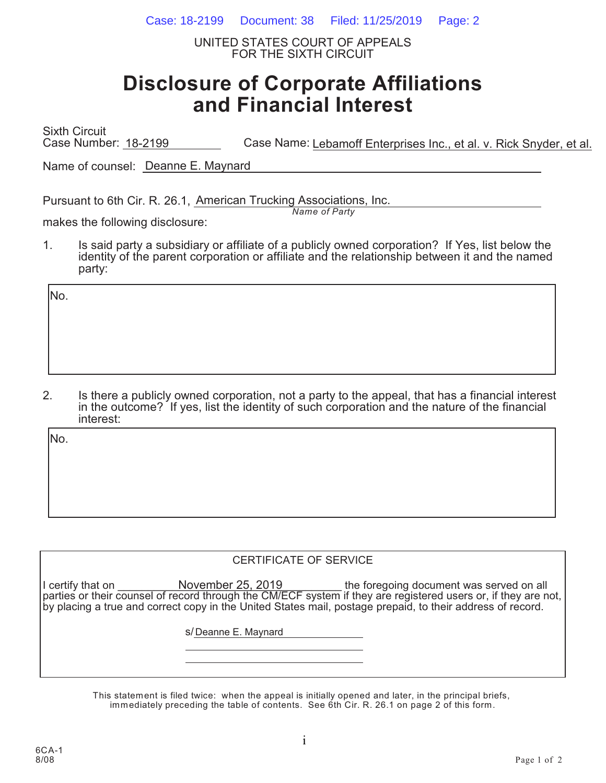Case: 18-2199 Document: 38 Filed: 11/25/2019 Page: 2

UNITED STATES COURT OF APPEALS FOR THE SIXTH CIRCUIT

# **Disclosure of Corporate Affiliations and Financial Interest**

Sixth Circuit Case Number: 18-2199 Case Name: Lebamoff Enterprises Inc., et al. v. Rick Snyder, et al.

Name of counsel: Deanne E. Maynard

Pursuant to 6th Cir. R. 26.1, American Trucking Associations, Inc.

*Name of Party*

makes the following disclosure:

1. Is said party a subsidiary or affiliate of a publicly owned corporation? If Yes, list below the identity of the parent corporation or affiliate and the relationship between it and the named party:

No.

2. Is there a publicly owned corporation, not a party to the appeal, that has a financial interest in the outcome? If yes, list the identity of such corporation and the nature of the financial interest:

No.

#### CERTIFICATE OF SERVICE

I certify that on **November 25, 2019** the foregoing document was served on all parties or their counsel of record through the CM/ECF system if they are registered users or, if they are not, by placing a true and correct copy in the United States mail, postage prepaid, to their address of record. November 25, 2019

s/ Deanne E. Maynard

This statement is filed twice: when the appeal is initially opened and later, in the principal briefs, immediately preceding the table of contents. See 6th Cir. R. 26.1 on page 2 of this form.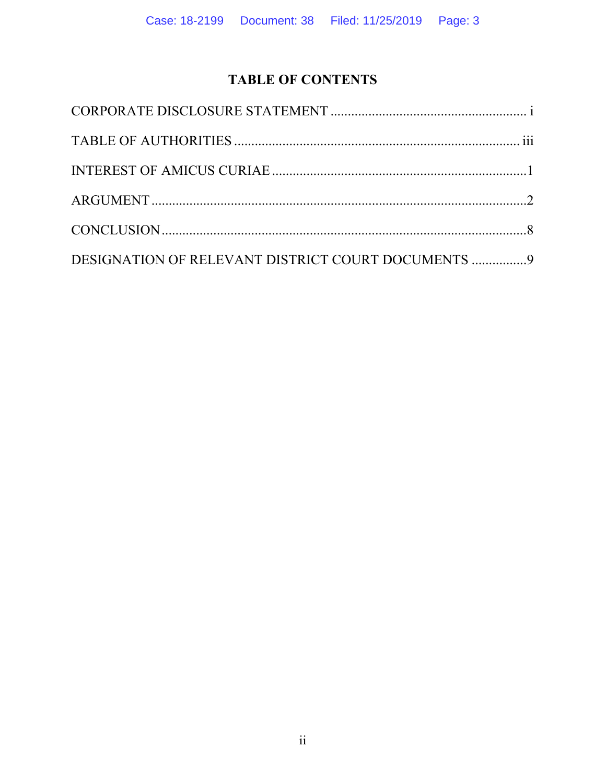# **TABLE OF CONTENTS**

| DESIGNATION OF RELEVANT DISTRICT COURT DOCUMENTS 9 |  |
|----------------------------------------------------|--|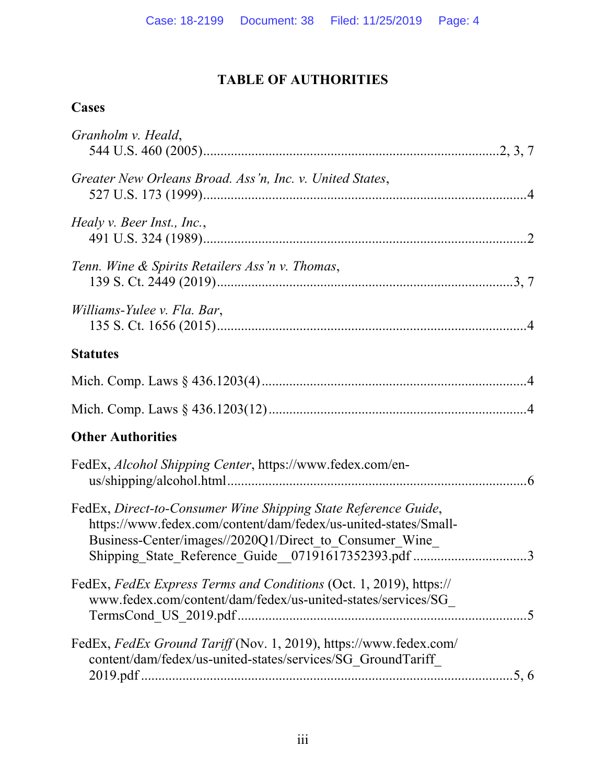# **TABLE OF AUTHORITIES**

# **Cases**

| Granholm v. Heald,                                                                                                                                                                                                                                 |  |
|----------------------------------------------------------------------------------------------------------------------------------------------------------------------------------------------------------------------------------------------------|--|
| Greater New Orleans Broad. Ass'n, Inc. v. United States,                                                                                                                                                                                           |  |
| Healy v. Beer Inst., Inc.,                                                                                                                                                                                                                         |  |
| Tenn. Wine & Spirits Retailers Ass'n v. Thomas,                                                                                                                                                                                                    |  |
| Williams-Yulee v. Fla. Bar,                                                                                                                                                                                                                        |  |
| <b>Statutes</b>                                                                                                                                                                                                                                    |  |
|                                                                                                                                                                                                                                                    |  |
|                                                                                                                                                                                                                                                    |  |
| <b>Other Authorities</b>                                                                                                                                                                                                                           |  |
| FedEx, Alcohol Shipping Center, https://www.fedex.com/en-                                                                                                                                                                                          |  |
| FedEx, Direct-to-Consumer Wine Shipping State Reference Guide,<br>https://www.fedex.com/content/dam/fedex/us-united-states/Small-<br>Business-Center/images//2020Q1/Direct to Consumer Wine<br>Shipping_State_Reference_Guide_07191617352393.pdf 3 |  |
| FedEx, FedEx Express Terms and Conditions (Oct. 1, 2019), https://<br>www.fedex.com/content/dam/fedex/us-united-states/services/SG                                                                                                                 |  |
| FedEx, FedEx Ground Tariff (Nov. 1, 2019), https://www.fedex.com/<br>content/dam/fedex/us-united-states/services/SG GroundTariff                                                                                                                   |  |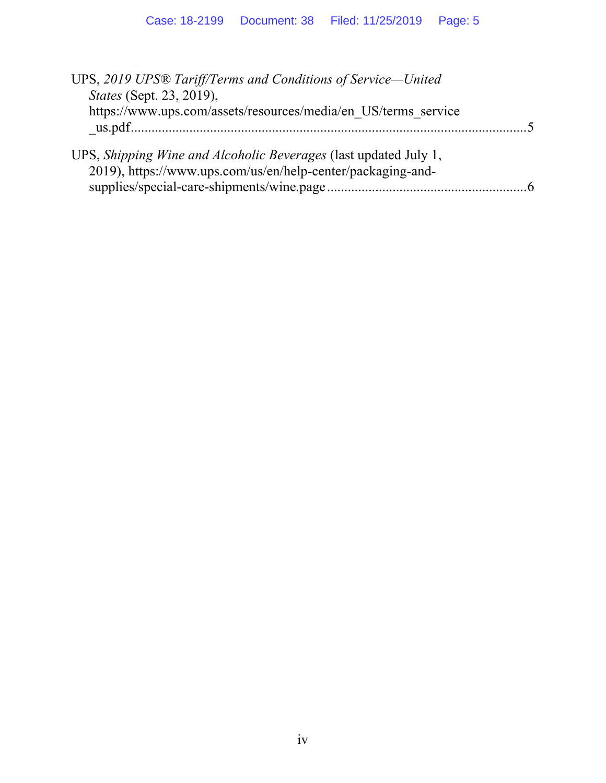| UPS, 2019 UPS® Tariff/Terms and Conditions of Service-United     |  |
|------------------------------------------------------------------|--|
| <i>States</i> (Sept. 23, 2019),                                  |  |
| https://www.ups.com/assets/resources/media/en US/terms service   |  |
|                                                                  |  |
|                                                                  |  |
| UPS, Shipping Wine and Alcoholic Beverages (last updated July 1, |  |
| 2019), https://www.ups.com/us/en/help-center/packaging-and-      |  |
|                                                                  |  |
|                                                                  |  |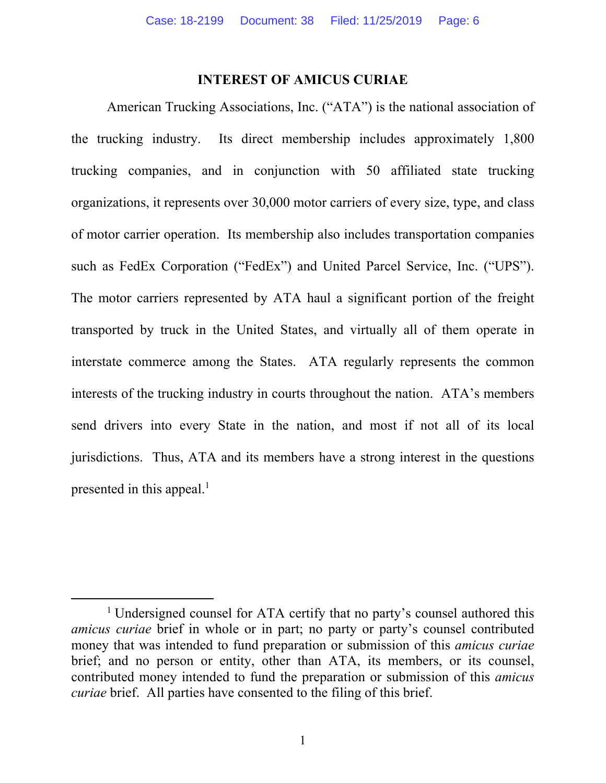#### **INTEREST OF AMICUS CURIAE**

American Trucking Associations, Inc. ("ATA") is the national association of the trucking industry. Its direct membership includes approximately 1,800 trucking companies, and in conjunction with 50 affiliated state trucking organizations, it represents over 30,000 motor carriers of every size, type, and class of motor carrier operation. Its membership also includes transportation companies such as FedEx Corporation ("FedEx") and United Parcel Service, Inc. ("UPS"). The motor carriers represented by ATA haul a significant portion of the freight transported by truck in the United States, and virtually all of them operate in interstate commerce among the States. ATA regularly represents the common interests of the trucking industry in courts throughout the nation. ATA's members send drivers into every State in the nation, and most if not all of its local jurisdictions. Thus, ATA and its members have a strong interest in the questions presented in this appeal. $<sup>1</sup>$ </sup>

<sup>&</sup>lt;u>1</u> <sup>1</sup> Undersigned counsel for ATA certify that no party's counsel authored this *amicus curiae* brief in whole or in part; no party or party's counsel contributed money that was intended to fund preparation or submission of this *amicus curiae* brief; and no person or entity, other than ATA, its members, or its counsel, contributed money intended to fund the preparation or submission of this *amicus curiae* brief. All parties have consented to the filing of this brief.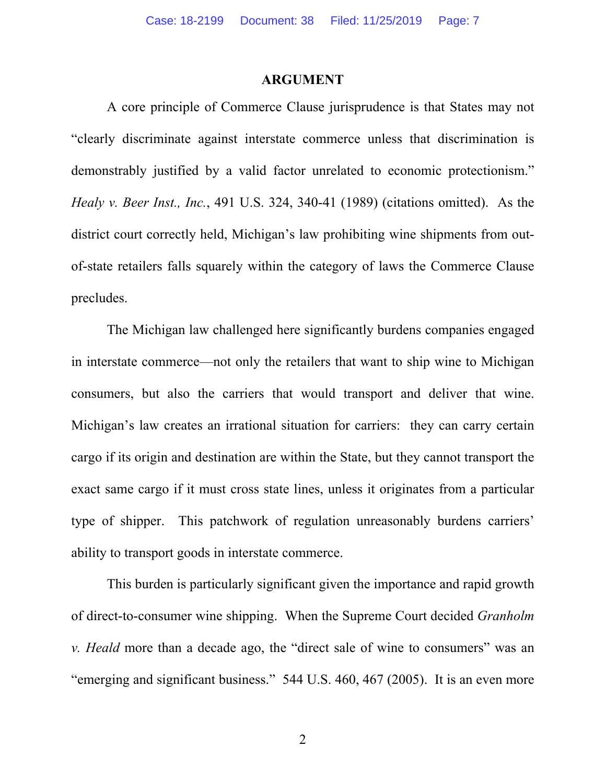#### **ARGUMENT**

A core principle of Commerce Clause jurisprudence is that States may not "clearly discriminate against interstate commerce unless that discrimination is demonstrably justified by a valid factor unrelated to economic protectionism." *Healy v. Beer Inst., Inc.*, 491 U.S. 324, 340-41 (1989) (citations omitted). As the district court correctly held, Michigan's law prohibiting wine shipments from outof-state retailers falls squarely within the category of laws the Commerce Clause precludes.

The Michigan law challenged here significantly burdens companies engaged in interstate commerce—not only the retailers that want to ship wine to Michigan consumers, but also the carriers that would transport and deliver that wine. Michigan's law creates an irrational situation for carriers: they can carry certain cargo if its origin and destination are within the State, but they cannot transport the exact same cargo if it must cross state lines, unless it originates from a particular type of shipper. This patchwork of regulation unreasonably burdens carriers' ability to transport goods in interstate commerce.

This burden is particularly significant given the importance and rapid growth of direct-to-consumer wine shipping. When the Supreme Court decided *Granholm v. Heald* more than a decade ago, the "direct sale of wine to consumers" was an "emerging and significant business." 544 U.S. 460, 467 (2005). It is an even more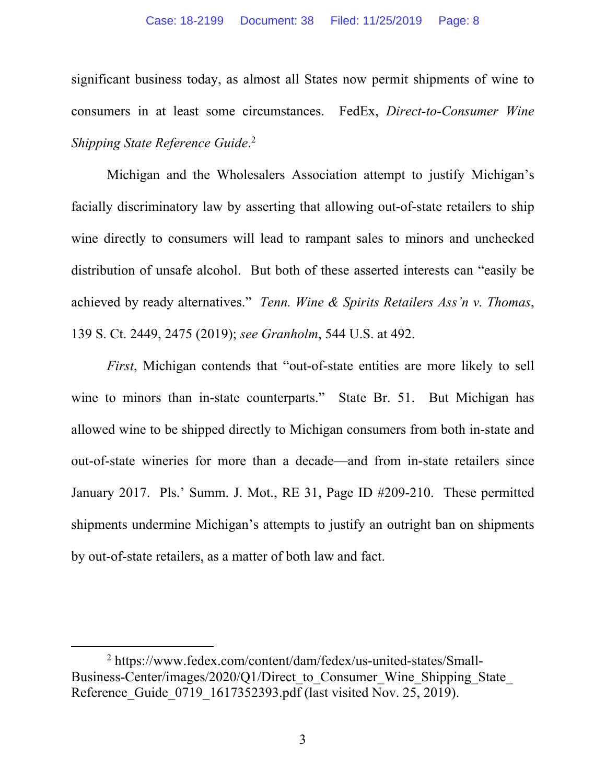significant business today, as almost all States now permit shipments of wine to consumers in at least some circumstances. FedEx, *Direct-to-Consumer Wine Shipping State Reference Guide*. 2

Michigan and the Wholesalers Association attempt to justify Michigan's facially discriminatory law by asserting that allowing out-of-state retailers to ship wine directly to consumers will lead to rampant sales to minors and unchecked distribution of unsafe alcohol. But both of these asserted interests can "easily be achieved by ready alternatives." *Tenn. Wine & Spirits Retailers Ass'n v. Thomas*, 139 S. Ct. 2449, 2475 (2019); *see Granholm*, 544 U.S. at 492.

*First*, Michigan contends that "out-of-state entities are more likely to sell wine to minors than in-state counterparts." State Br. 51. But Michigan has allowed wine to be shipped directly to Michigan consumers from both in-state and out-of-state wineries for more than a decade—and from in-state retailers since January 2017. Pls.' Summ. J. Mot., RE 31, Page ID #209-210. These permitted shipments undermine Michigan's attempts to justify an outright ban on shipments by out-of-state retailers, as a matter of both law and fact.

 <sup>2</sup> https://www.fedex.com/content/dam/fedex/us-united-states/Small-Business-Center/images/2020/Q1/Direct to Consumer Wine Shipping State Reference Guide 0719 1617352393.pdf (last visited Nov. 25, 2019).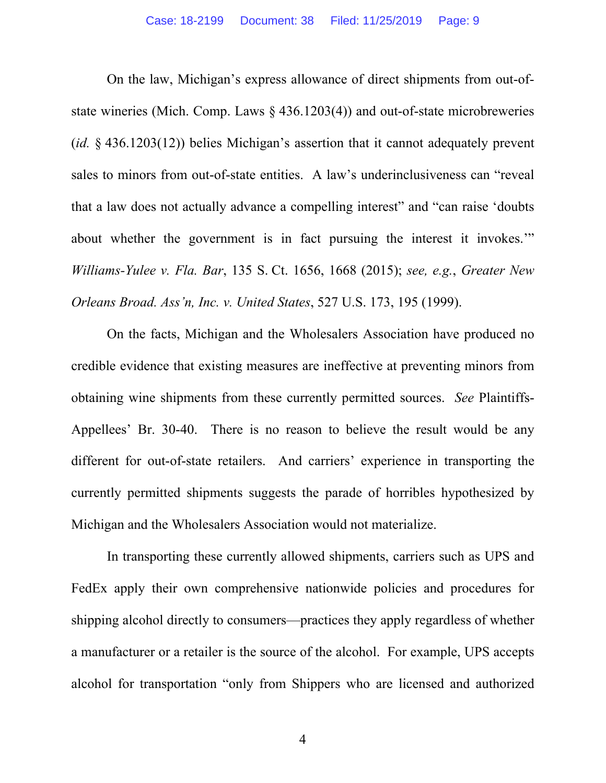On the law, Michigan's express allowance of direct shipments from out-ofstate wineries (Mich. Comp. Laws § 436.1203(4)) and out-of-state microbreweries (*id.* § 436.1203(12)) belies Michigan's assertion that it cannot adequately prevent sales to minors from out-of-state entities. A law's underinclusiveness can "reveal that a law does not actually advance a compelling interest" and "can raise 'doubts about whether the government is in fact pursuing the interest it invokes.'" *Williams-Yulee v. Fla. Bar*, 135 S. Ct. 1656, 1668 (2015); *see, e.g.*, *Greater New Orleans Broad. Ass'n, Inc. v. United States*, 527 U.S. 173, 195 (1999).

On the facts, Michigan and the Wholesalers Association have produced no credible evidence that existing measures are ineffective at preventing minors from obtaining wine shipments from these currently permitted sources. *See* Plaintiffs-Appellees' Br. 30-40. There is no reason to believe the result would be any different for out-of-state retailers. And carriers' experience in transporting the currently permitted shipments suggests the parade of horribles hypothesized by Michigan and the Wholesalers Association would not materialize.

In transporting these currently allowed shipments, carriers such as UPS and FedEx apply their own comprehensive nationwide policies and procedures for shipping alcohol directly to consumers—practices they apply regardless of whether a manufacturer or a retailer is the source of the alcohol. For example, UPS accepts alcohol for transportation "only from Shippers who are licensed and authorized

4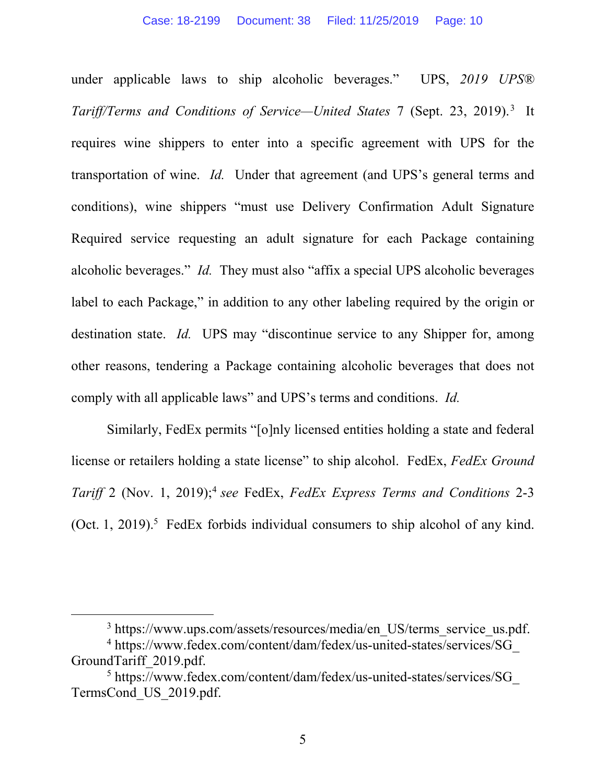under applicable laws to ship alcoholic beverages." UPS, *2019 UPS® Tariff/Terms and Conditions of Service—United States* 7 (Sept. 23, 2019).3 It requires wine shippers to enter into a specific agreement with UPS for the transportation of wine. *Id.* Under that agreement (and UPS's general terms and conditions), wine shippers "must use Delivery Confirmation Adult Signature Required service requesting an adult signature for each Package containing alcoholic beverages." *Id.* They must also "affix a special UPS alcoholic beverages label to each Package," in addition to any other labeling required by the origin or destination state. *Id.* UPS may "discontinue service to any Shipper for, among other reasons, tendering a Package containing alcoholic beverages that does not comply with all applicable laws" and UPS's terms and conditions. *Id.*

Similarly, FedEx permits "[o]nly licensed entities holding a state and federal license or retailers holding a state license" to ship alcohol. FedEx, *FedEx Ground Tariff* 2 (Nov. 1, 2019);4 *see* FedEx, *FedEx Express Terms and Conditions* 2-3 (Oct. 1, 2019).<sup>5</sup> FedEx forbids individual consumers to ship alcohol of any kind.

 $\frac{1}{3}$ https://www.ups.com/assets/resources/media/en\_US/terms\_service\_us.pdf.

<sup>&</sup>lt;sup>4</sup> https://www.fedex.com/content/dam/fedex/us-united-states/services/SG\_ GroundTariff\_2019.pdf.

<sup>&</sup>lt;sup>5</sup> https://www.fedex.com/content/dam/fedex/us-united-states/services/SG TermsCond\_US\_2019.pdf.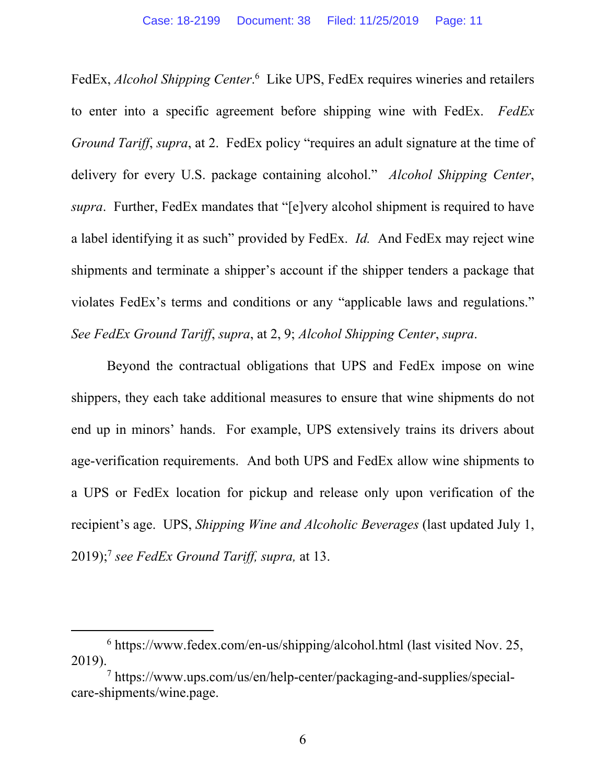FedEx, *Alcohol Shipping Center*.<sup>6</sup> Like UPS, FedEx requires wineries and retailers to enter into a specific agreement before shipping wine with FedEx. *FedEx Ground Tariff, supra, at 2.* FedEx policy "requires an adult signature at the time of delivery for every U.S. package containing alcohol." *Alcohol Shipping Center*, *supra*. Further, FedEx mandates that "[e]very alcohol shipment is required to have a label identifying it as such" provided by FedEx. *Id.* And FedEx may reject wine shipments and terminate a shipper's account if the shipper tenders a package that violates FedEx's terms and conditions or any "applicable laws and regulations." *See FedEx Ground Tariff*, *supra*, at 2, 9; *Alcohol Shipping Center*, *supra*.

Beyond the contractual obligations that UPS and FedEx impose on wine shippers, they each take additional measures to ensure that wine shipments do not end up in minors' hands. For example, UPS extensively trains its drivers about age-verification requirements. And both UPS and FedEx allow wine shipments to a UPS or FedEx location for pickup and release only upon verification of the recipient's age. UPS, *Shipping Wine and Alcoholic Beverages* (last updated July 1, 2019);7 *see FedEx Ground Tariff, supra,* at 13.

 <sup>6</sup> https://www.fedex.com/en-us/shipping/alcohol.html (last visited Nov. 25, 2019).

<sup>7</sup> https://www.ups.com/us/en/help-center/packaging-and-supplies/specialcare-shipments/wine.page.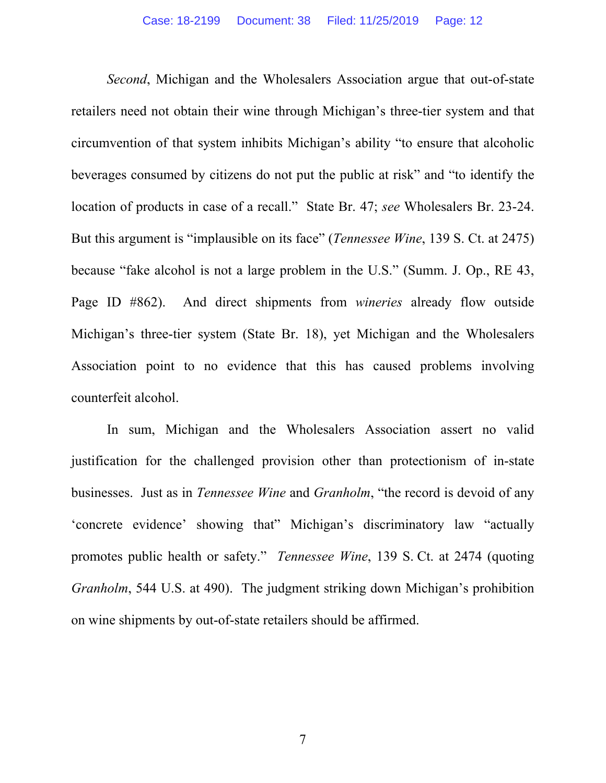*Second*, Michigan and the Wholesalers Association argue that out-of-state retailers need not obtain their wine through Michigan's three-tier system and that circumvention of that system inhibits Michigan's ability "to ensure that alcoholic beverages consumed by citizens do not put the public at risk" and "to identify the location of products in case of a recall." State Br. 47; *see* Wholesalers Br. 23-24. But this argument is "implausible on its face" (*Tennessee Wine*, 139 S. Ct. at 2475) because "fake alcohol is not a large problem in the U.S." (Summ. J. Op., RE 43, Page ID #862). And direct shipments from *wineries* already flow outside Michigan's three-tier system (State Br. 18), yet Michigan and the Wholesalers Association point to no evidence that this has caused problems involving counterfeit alcohol.

In sum, Michigan and the Wholesalers Association assert no valid justification for the challenged provision other than protectionism of in-state businesses. Just as in *Tennessee Wine* and *Granholm*, "the record is devoid of any 'concrete evidence' showing that" Michigan's discriminatory law "actually promotes public health or safety." *Tennessee Wine*, 139 S. Ct. at 2474 (quoting *Granholm*, 544 U.S. at 490). The judgment striking down Michigan's prohibition on wine shipments by out-of-state retailers should be affirmed.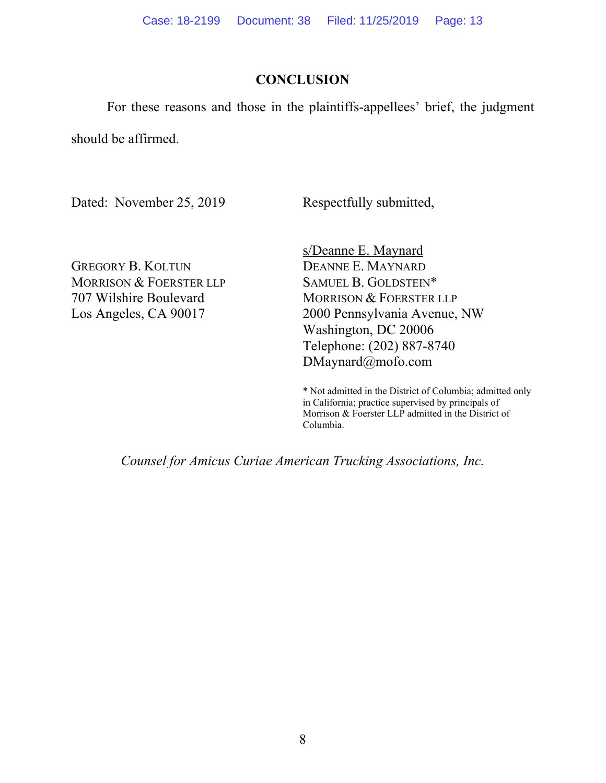### **CONCLUSION**

For these reasons and those in the plaintiffs-appellees' brief, the judgment

should be affirmed.

Dated: November 25, 2019

Respectfully submitted,

GREGORY B. KOLTUN MORRISON & FOERSTER LLP 707 Wilshire Boulevard Los Angeles, CA 90017

s/Deanne E. Maynard DEANNE E. MAYNARD SAMUEL B. GOLDSTEIN\* MORRISON & FOERSTER LLP 2000 Pennsylvania Avenue, NW Washington, DC 20006 Telephone: (202) 887-8740 DMaynard@mofo.com

\* Not admitted in the District of Columbia; admitted only in California; practice supervised by principals of Morrison & Foerster LLP admitted in the District of Columbia.

*Counsel for Amicus Curiae American Trucking Associations, Inc.*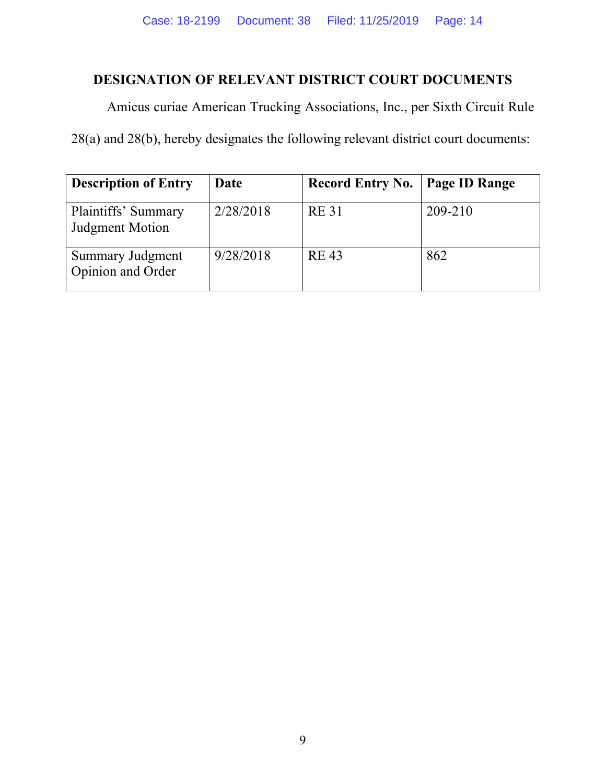## **DESIGNATION OF RELEVANT DISTRICT COURT DOCUMENTS**

Amicus curiae American Trucking Associations, Inc., per Sixth Circuit Rule

28(a) and 28(b), hereby designates the following relevant district court documents:

| <b>Description of Entry</b>                  | Date      | <b>Record Entry No.</b> | <b>Page ID Range</b> |
|----------------------------------------------|-----------|-------------------------|----------------------|
| Plaintiffs' Summary<br>Judgment Motion       | 2/28/2018 | <b>RE31</b>             | 209-210              |
| <b>Summary Judgment</b><br>Opinion and Order | 9/28/2018 | <b>RE43</b>             | 862                  |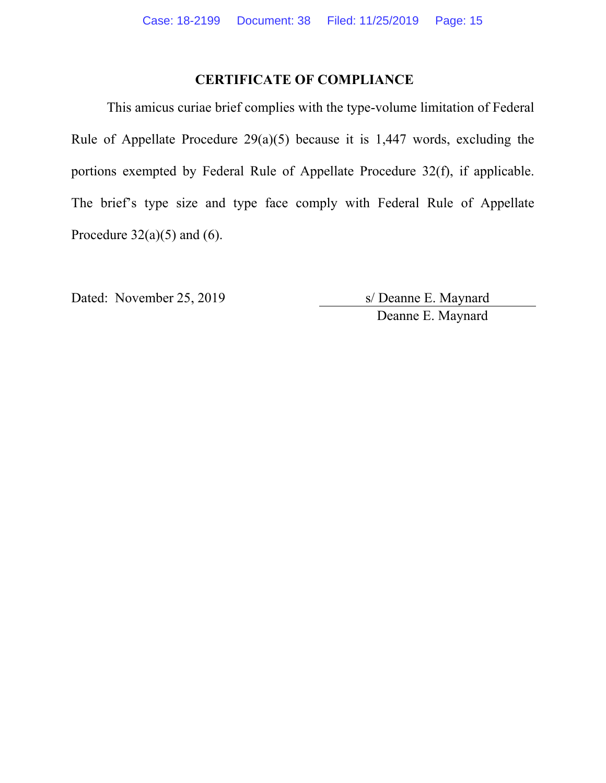### **CERTIFICATE OF COMPLIANCE**

This amicus curiae brief complies with the type-volume limitation of Federal Rule of Appellate Procedure 29(a)(5) because it is 1,447 words, excluding the portions exempted by Federal Rule of Appellate Procedure 32(f), if applicable. The brief's type size and type face comply with Federal Rule of Appellate Procedure  $32(a)(5)$  and  $(6)$ .

Dated: November 25, 2019 s/ Deanne E. Maynard Deanne E. Maynard